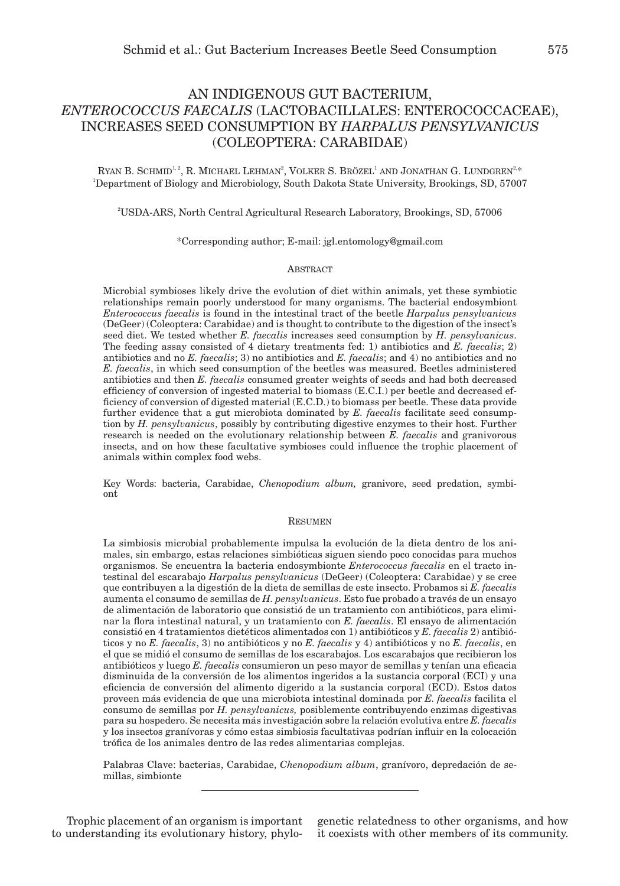# AN INDIGENOUS GUT BACTERIUM, *ENTEROCOCCUS FAECALIS* (LACTOBACILLALES: ENTEROCOCCACEAE), INCREASES SEED CONSUMPTION BY *HARPALUS PENSYLVANICUS*  (COLEOPTERA: CARABIDAE)

RYAN B. SCHMID<sup>1, 2</sup>, R. MICHAEL LEHMAN<sup>2</sup>, VOLKER S. BRÖZEL<sup>1</sup> AND JONATHAN G. LUNDGREN<sup>2,</sup>\* 1 Department of Biology and Microbiology, South Dakota State University, Brookings, SD, 57007

2 USDA-ARS, North Central Agricultural Research Laboratory, Brookings, SD, 57006

\*Corresponding author; E-mail: jgl.entomology@gmail.com

# **ABSTRACT**

Microbial symbioses likely drive the evolution of diet within animals, yet these symbiotic relationships remain poorly understood for many organisms. The bacterial endosymbiont *Enterococcus faecalis* is found in the intestinal tract of the beetle *Harpalus pensylvanicus* (DeGeer) (Coleoptera: Carabidae) and is thought to contribute to the digestion of the insect's seed diet. We tested whether *E. faecalis* increases seed consumption by *H. pensylvanicus*. The feeding assay consisted of 4 dietary treatments fed: 1) antibiotics and *E. faecalis*; 2) antibiotics and no *E. faecalis*; 3) no antibiotics and *E. faecalis*; and 4) no antibiotics and no *E. faecalis*, in which seed consumption of the beetles was measured. Beetles administered antibiotics and then *E. faecalis* consumed greater weights of seeds and had both decreased efficiency of conversion of ingested material to biomass (E.C.I.) per beetle and decreased efficiency of conversion of digested material (E.C.D.) to biomass per beetle. These data provide further evidence that a gut microbiota dominated by *E. faecalis* facilitate seed consumption by *H. pensylvanicus*, possibly by contributing digestive enzymes to their host. Further research is needed on the evolutionary relationship between *E. faecalis* and granivorous insects, and on how these facultative symbioses could influence the trophic placement of animals within complex food webs.

Key Words: bacteria, Carabidae, *Chenopodium album,* granivore, seed predation, symbiont

# Resumen

La simbiosis microbial probablemente impulsa la evolución de la dieta dentro de los animales, sin embargo, estas relaciones simbióticas siguen siendo poco conocidas para muchos organismos. Se encuentra la bacteria endosymbionte *Enterococcus faecalis* en el tracto intestinal del escarabajo *Harpalus pensylvanicus* (DeGeer) (Coleoptera: Carabidae) y se cree que contribuyen a la digestión de la dieta de semillas de este insecto. Probamos si *E. faecalis* aumenta el consumo de semillas de *H. pensylvanicus*. Esto fue probado a través de un ensayo de alimentación de laboratorio que consistió de un tratamiento con antibióticos, para eliminar la flora intestinal natural, y un tratamiento con *E. faecalis*. El ensayo de alimentación consistió en 4 tratamientos dietéticos alimentados con 1) antibióticos y *E. faecalis* 2) antibióticos y no *E. faecalis*, 3) no antibióticos y no *E. faecalis* y 4) antibióticos y no *E. faecalis*, en el que se midió el consumo de semillas de los escarabajos. Los escarabajos que recibieron los antibióticos y luego *E. faecalis* consumieron un peso mayor de semillas y tenían una eficacia disminuida de la conversión de los alimentos ingeridos a la sustancia corporal (ECI) y una eficiencia de conversión del alimento digerido a la sustancia corporal (ECD). Estos datos proveen más evidencia de que una microbiota intestinal dominada por *E. faecalis* facilita el consumo de semillas por *H. pensylvanicus,* posiblemente contribuyendo enzimas digestivas para su hospedero. Se necesita más investigación sobre la relación evolutiva entre *E. faecalis* y los insectos granívoras y cómo estas simbiosis facultativas podrían influir en la colocación trófica de los animales dentro de las redes alimentarias complejas.

Palabras Clave: bacterias, Carabidae, *Chenopodium album*, granívoro, depredación de semillas, simbionte

Trophic placement of an organism is important to understanding its evolutionary history, phylo-

genetic relatedness to other organisms, and how it coexists with other members of its community.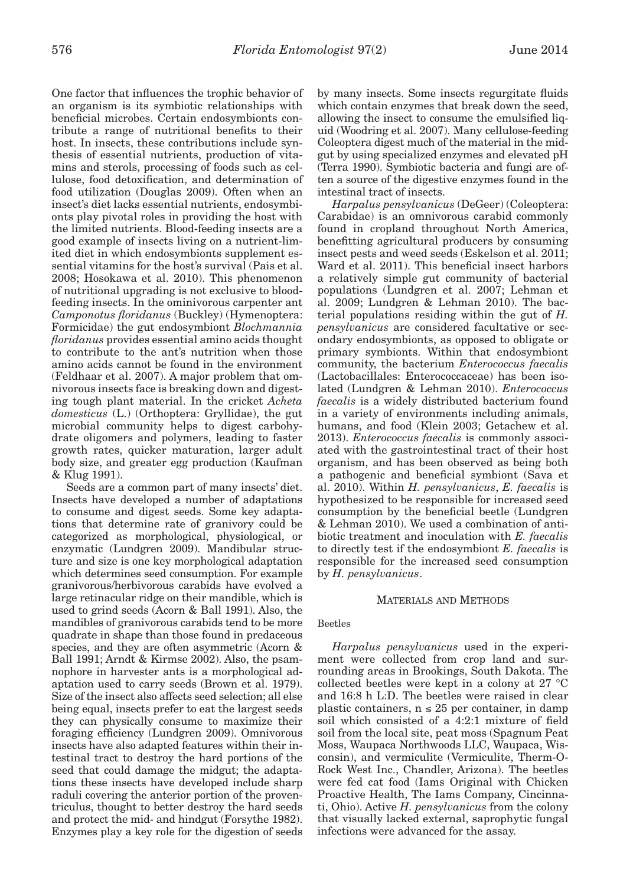One factor that influences the trophic behavior of an organism is its symbiotic relationships with beneficial microbes. Certain endosymbionts contribute a range of nutritional benefits to their host. In insects, these contributions include synthesis of essential nutrients, production of vitamins and sterols, processing of foods such as cellulose, food detoxification, and determination of food utilization (Douglas 2009). Often when an insect's diet lacks essential nutrients, endosymbionts play pivotal roles in providing the host with the limited nutrients. Blood-feeding insects are a good example of insects living on a nutrient-limited diet in which endosymbionts supplement essential vitamins for the host's survival (Pais et al. 2008; Hosokawa et al. 2010). This phenomenon of nutritional upgrading is not exclusive to bloodfeeding insects. In the ominivorous carpenter ant *Camponotus floridanus* (Buckley) (Hymenoptera: Formicidae) the gut endosymbiont *Blochmannia floridanus* provides essential amino acids thought to contribute to the ant's nutrition when those amino acids cannot be found in the environment (Feldhaar et al. 2007). A major problem that omnivorous insects face is breaking down and digesting tough plant material. In the cricket *Acheta domesticus* (L.) (Orthoptera: Gryllidae), the gut microbial community helps to digest carbohydrate oligomers and polymers, leading to faster growth rates, quicker maturation, larger adult body size, and greater egg production (Kaufman & Klug 1991).

Seeds are a common part of many insects' diet. Insects have developed a number of adaptations to consume and digest seeds. Some key adaptations that determine rate of granivory could be categorized as morphological, physiological, or enzymatic (Lundgren 2009). Mandibular structure and size is one key morphological adaptation which determines seed consumption. For example granivorous/herbivorous carabids have evolved a large retinacular ridge on their mandible, which is used to grind seeds (Acorn & Ball 1991). Also, the mandibles of granivorous carabids tend to be more quadrate in shape than those found in predaceous species, and they are often asymmetric (Acorn & Ball 1991; Arndt & Kirmse 2002). Also, the psamnophore in harvester ants is a morphological adaptation used to carry seeds (Brown et al. 1979). Size of the insect also affects seed selection; all else being equal, insects prefer to eat the largest seeds they can physically consume to maximize their foraging efficiency (Lundgren 2009). Omnivorous insects have also adapted features within their intestinal tract to destroy the hard portions of the seed that could damage the midgut; the adaptations these insects have developed include sharp raduli covering the anterior portion of the proventriculus, thought to better destroy the hard seeds and protect the mid- and hindgut (Forsythe 1982). Enzymes play a key role for the digestion of seeds by many insects. Some insects regurgitate fluids which contain enzymes that break down the seed, allowing the insect to consume the emulsified liquid (Woodring et al. 2007). Many cellulose-feeding Coleoptera digest much of the material in the midgut by using specialized enzymes and elevated pH (Terra 1990). Symbiotic bacteria and fungi are often a source of the digestive enzymes found in the intestinal tract of insects.

*Harpalus pensylvanicus* (DeGeer) (Coleoptera: Carabidae) is an omnivorous carabid commonly found in cropland throughout North America, benefitting agricultural producers by consuming insect pests and weed seeds (Eskelson et al. 2011; Ward et al. 2011). This beneficial insect harbors a relatively simple gut community of bacterial populations (Lundgren et al. 2007; Lehman et al. 2009; Lundgren & Lehman 2010). The bacterial populations residing within the gut of *H. pensylvanicus* are considered facultative or secondary endosymbionts, as opposed to obligate or primary symbionts. Within that endosymbiont community, the bacterium *Enterococcus faecalis* (Lactobacillales: Enterococcaceae) has been isolated (Lundgren & Lehman 2010). *Enterococcus faecalis* is a widely distributed bacterium found in a variety of environments including animals, humans, and food (Klein 2003; Getachew et al. 2013). *Enterococcus faecalis* is commonly associated with the gastrointestinal tract of their host organism, and has been observed as being both a pathogenic and beneficial symbiont (Sava et al. 2010). Within *H. pensylvanicus*, *E. faecalis* is hypothesized to be responsible for increased seed consumption by the beneficial beetle (Lundgren & Lehman 2010). We used a combination of antibiotic treatment and inoculation with *E. faecalis* to directly test if the endosymbiont *E. faecalis* is responsible for the increased seed consumption by *H. pensylvanicus*.

#### Materials and Methods

#### Beetles

*Harpalus pensylvanicus* used in the experiment were collected from crop land and surrounding areas in Brookings, South Dakota. The collected beetles were kept in a colony at 27 °C and 16:8 h L:D. The beetles were raised in clear plastic containers,  $n \leq 25$  per container, in damp soil which consisted of a 4:2:1 mixture of field soil from the local site, peat moss (Spagnum Peat Moss, Waupaca Northwoods LLC, Waupaca, Wisconsin), and vermiculite (Vermiculite, Therm-O-Rock West Inc., Chandler, Arizona). The beetles were fed cat food (Iams Original with Chicken Proactive Health, The Iams Company, Cincinnati, Ohio). Active *H. pensylvanicus* from the colony that visually lacked external, saprophytic fungal infections were advanced for the assay.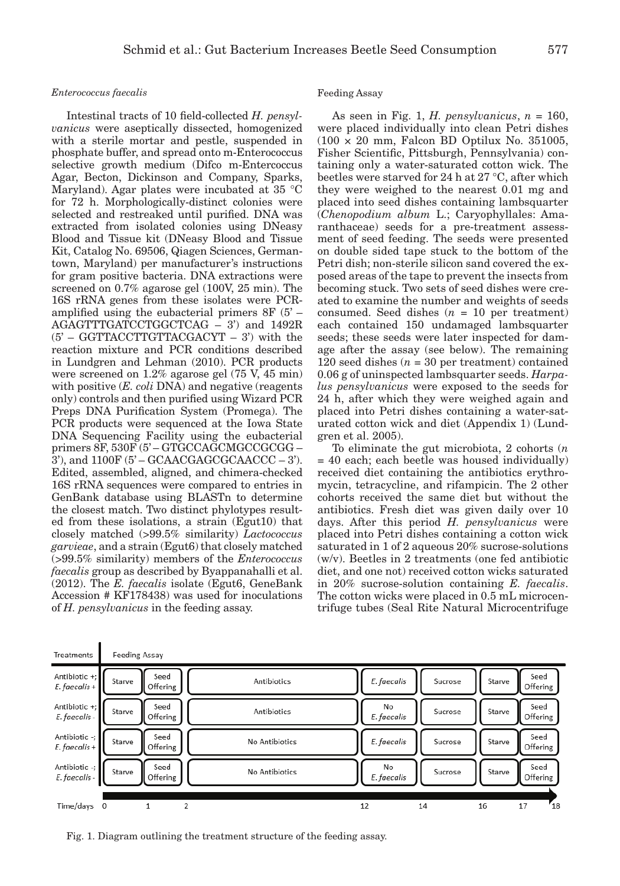## *Enterococcus faecalis*

Ï

Intestinal tracts of 10 field-collected *H. pensylvanicus* were aseptically dissected, homogenized with a sterile mortar and pestle, suspended in phosphate buffer, and spread onto m-Enterococcus selective growth medium (Difco m-Entercoccus Agar, Becton, Dickinson and Company, Sparks, Maryland). Agar plates were incubated at 35 °C for 72 h. Morphologically-distinct colonies were selected and restreaked until purified. DNA was extracted from isolated colonies using DNeasy Blood and Tissue kit (DNeasy Blood and Tissue Kit, Catalog No. 69506, Qiagen Sciences, Germantown, Maryland) per manufacturer's instructions for gram positive bacteria. DNA extractions were screened on 0.7% agarose gel (100V, 25 min). The 16S rRNA genes from these isolates were PCRamplified using the eubacterial primers 8F (5' – AGAGTTTGATCCTGGCTCAG – 3') and 1492R (5' – GGTTACCTTGTTACGACYT – 3') with the reaction mixture and PCR conditions described in Lundgren and Lehman (2010). PCR products were screened on 1.2% agarose gel (75 V, 45 min) with positive (*E. coli* DNA) and negative (reagents only) controls and then purified using Wizard PCR Preps DNA Purification System (Promega). The PCR products were sequenced at the Iowa State DNA Sequencing Facility using the eubacterial primers 8F, 530F (5' – GTGCCAGCMGCCGCGG –  $3'$ ), and  $1100F (5' - GCAACGAGCGCAACCC - 3')$ . Edited, assembled, aligned, and chimera-checked 16S rRNA sequences were compared to entries in GenBank database using BLASTn to determine the closest match. Two distinct phylotypes resulted from these isolations, a strain (Egut10) that closely matched (>99.5% similarity) *Lactococcus garvieae*, and a strain (Egut6) that closely matched (>99.5% similarity) members of the *Enterococcus faecalis* group as described by Byappanahalli et al. (2012). The *E. faecalis* isolate (Egut6, GeneBank Accession # KF178438) was used for inoculations of *H. pensylvanicus* in the feeding assay.

## Feeding Assay

As seen in Fig. 1, *H. pensylvanicus*, *n* = 160, were placed individually into clean Petri dishes (100 × 20 mm, Falcon BD Optilux No. 351005, Fisher Scientific, Pittsburgh, Pennsylvania) containing only a water-saturated cotton wick. The beetles were starved for 24 h at 27 °C, after which they were weighed to the nearest 0.01 mg and placed into seed dishes containing lambsquarter (*Chenopodium album* L.; Caryophyllales: Amaranthaceae) seeds for a pre-treatment assessment of seed feeding. The seeds were presented on double sided tape stuck to the bottom of the Petri dish; non-sterile silicon sand covered the exposed areas of the tape to prevent the insects from becoming stuck. Two sets of seed dishes were created to examine the number and weights of seeds consumed. Seed dishes (*n* = 10 per treatment) each contained 150 undamaged lambsquarter seeds; these seeds were later inspected for damage after the assay (see below). The remaining 120 seed dishes  $(n = 30$  per treatment) contained 0.06 g of uninspected lambsquarter seeds. *Harpalus pensylvanicus* were exposed to the seeds for 24 h, after which they were weighed again and placed into Petri dishes containing a water-saturated cotton wick and diet (Appendix 1) (Lundgren et al. 2005).

To eliminate the gut microbiota, 2 cohorts (*n* = 40 each; each beetle was housed individually) received diet containing the antibiotics erythromycin, tetracycline, and rifampicin. The 2 other cohorts received the same diet but without the antibiotics. Fresh diet was given daily over 10 days. After this period *H. pensylvanicus* were placed into Petri dishes containing a cotton wick saturated in 1 of 2 aqueous 20% sucrose-solutions (w/v). Beetles in 2 treatments (one fed antibiotic diet, and one not) received cotton wicks saturated in 20% sucrose-solution containing *E. faecalis*. The cotton wicks were placed in 0.5 mL microcentrifuge tubes (Seal Rite Natural Microcentrifuge

| Treatments                       | <b>Feeding Assay</b> |                  |                         |                   |         |        |                  |
|----------------------------------|----------------------|------------------|-------------------------|-------------------|---------|--------|------------------|
| Antibiotic +;<br>$E.$ faecalis + | Starve               | Seed<br>Offering | Antibiotics             | E. faecalis       | Sucrose | Starve | Seed<br>Offering |
| Antibiotic +;<br>E. faecalis -   | Starve               | Seed<br>Offering | Antibiotics             | No<br>E. faecalis | Sucrose | Starve | Seed<br>Offering |
| Antibiotic -;<br>$E.$ faecalis + | Starve               | Seed<br>Offering | No Antibiotics          | E. faecalis       | Sucrose | Starve | Seed<br>Offering |
| Antibiotic -;<br>E. faecalis -   | Starve               | Seed<br>Offering | No Antibiotics          | No<br>E. faecalis | Sucrose | Starve | Seed<br>Offering |
| Time/days                        | 0                    |                  | $\overline{\mathbf{z}}$ | 12                | 14      | 16     | $r_{18}$<br>17   |

Fig. 1. Diagram outlining the treatment structure of the feeding assay.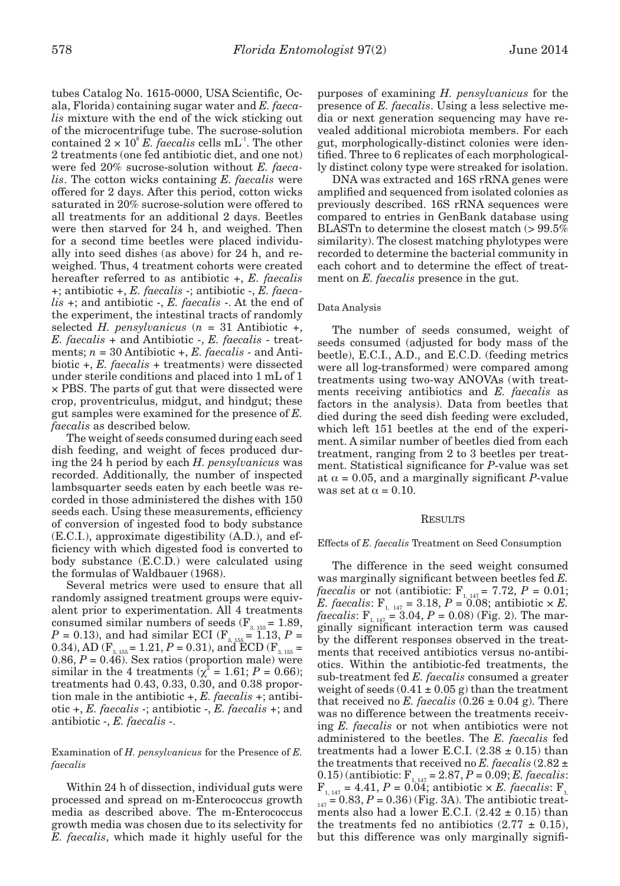tubes Catalog No. 1615-0000, USA Scientific, Ocala, Florida) containing sugar water and *E. faecalis* mixture with the end of the wick sticking out of the microcentrifuge tube. The sucrose-solution contained  $2 \times 10^8$  *E. faecalis* cells mL<sup>-1</sup>. The other 2 treatments (one fed antibiotic diet, and one not) were fed 20% sucrose-solution without *E. faecalis*. The cotton wicks containing *E. faecalis* were offered for 2 days. After this period, cotton wicks saturated in 20% sucrose-solution were offered to all treatments for an additional 2 days. Beetles were then starved for 24 h, and weighed. Then for a second time beetles were placed individually into seed dishes (as above) for 24 h, and reweighed. Thus, 4 treatment cohorts were created hereafter referred to as antibiotic +, *E. faecalis* +; antibiotic +, *E. faecalis* -; antibiotic -, *E. faecalis* +; and antibiotic -, *E. faecalis* -. At the end of the experiment, the intestinal tracts of randomly selected *H. pensylvanicus* (*n* = 31 Antibiotic +, *E. faecalis* + and Antibiotic -, *E. faecalis* - treatments; *n* = 30 Antibiotic +, *E. faecalis* - and Antibiotic +, *E. faecalis* + treatments) were dissected under sterile conditions and placed into 1 mL of 1 × PBS. The parts of gut that were dissected were crop, proventriculus, midgut, and hindgut; these gut samples were examined for the presence of *E. faecalis* as described below.

The weight of seeds consumed during each seed dish feeding, and weight of feces produced during the 24 h period by each *H. pensylvanicus* was recorded. Additionally, the number of inspected lambsquarter seeds eaten by each beetle was recorded in those administered the dishes with 150 seeds each. Using these measurements, efficiency of conversion of ingested food to body substance (E.C.I.), approximate digestibility (A.D.), and efficiency with which digested food is converted to body substance (E.C.D.) were calculated using the formulas of Waldbauer (1968).

Several metrics were used to ensure that all randomly assigned treatment groups were equivalent prior to experimentation. All 4 treatments consumed similar numbers of seeds  $(F_{3, 155} = 1.89)$ ,  $P = 0.13$ ), and had similar ECI (F<sub>3, 155</sub> = 1.13,  $P =$ 0.34), AD ( $F_{3, 155} = 1.21, P = 0.31$ ), and ECD ( $F_{3, 155} =$ 0.86,  $P = 0.46$ ). Sex ratios (proportion male) were similar in the 4 treatments ( $\chi^2 = 1.61; P = 0.66$ ); treatments had 0.43, 0.33, 0.30, and 0.38 proportion male in the antibiotic +, *E. faecalis* +; antibiotic +, *E. faecalis* -; antibiotic -, *E. faecalis* +; and antibiotic -, *E. faecalis* -.

Examination of *H. pensylvanicus* for the Presence of *E. faecalis*

Within 24 h of dissection, individual guts were processed and spread on m-Enterococcus growth media as described above. The m-Enterococcus growth media was chosen due to its selectivity for *E. faecalis*, which made it highly useful for the purposes of examining *H. pensylvanicus* for the presence of *E. faecalis*. Using a less selective media or next generation sequencing may have revealed additional microbiota members. For each gut, morphologically-distinct colonies were identified. Three to 6 replicates of each morphologically distinct colony type were streaked for isolation.

DNA was extracted and 16S rRNA genes were amplified and sequenced from isolated colonies as previously described. 16S rRNA sequences were compared to entries in GenBank database using BLASTn to determine the closest match (> 99.5% similarity). The closest matching phylotypes were recorded to determine the bacterial community in each cohort and to determine the effect of treatment on *E. faecalis* presence in the gut.

# Data Analysis

The number of seeds consumed, weight of seeds consumed (adjusted for body mass of the beetle), E.C.I., A.D., and E.C.D. (feeding metrics were all log-transformed) were compared among treatments using two-way ANOVAs (with treatments receiving antibiotics and *E. faecalis* as factors in the analysis). Data from beetles that died during the seed dish feeding were excluded, which left 151 beetles at the end of the experiment. A similar number of beetles died from each treatment, ranging from 2 to 3 beetles per treatment. Statistical significance for *P*-value was set at  $\alpha$  = 0.05, and a marginally significant *P*-value was set at  $\alpha = 0.10$ .

# **RESULTS**

#### Effects of *E. faecalis* Treatment on Seed Consumption

The difference in the seed weight consumed was marginally significant between beetles fed *E. faecalis* or not (antibiotic:  $F_{1, 147} = 7.72, P = 0.01;$ *E. faecalis*:  $F_{1, 147} = 3.18, P = 0.08$ ; antibiotic  $\times E$ . *faecalis*:  $F_{1, 147} = 3.04, P = 0.08$  (Fig. 2). The marginally significant interaction term was caused by the different responses observed in the treatments that received antibiotics versus no-antibiotics. Within the antibiotic-fed treatments, the sub-treatment fed *E. faecalis* consumed a greater weight of seeds  $(0.41 \pm 0.05 \text{ g})$  than the treatment that received no *E. faecalis*  $(0.26 \pm 0.04 \text{ g})$ . There was no difference between the treatments receiving *E. faecalis* or not when antibiotics were not administered to the beetles. The *E. faecalis* fed treatments had a lower E.C.I.  $(2.38 \pm 0.15)$  than the treatments that received no  $E$ . *faecalis*  $(2.82 \pm$ 0.15) (antibiotic:  $F_{1, 147} = 2.87, P = 0.09; E.$  *faecalis*:  $F_{1, 147} = 4.41, P = 0.04$ ; antibiotic  $\times E$ . *faecalis*:  $F_{1, 147} = 4.41$ ,  $P = 0.04$ ; antibiotic  $\times E$ .  $_{147} = 0.83, P = 0.36$ ) (Fig. 3A). The antibiotic treatments also had a lower E.C.I.  $(2.42 \pm 0.15)$  than the treatments fed no antibiotics  $(2.77 \pm 0.15)$ , but this difference was only marginally signifi-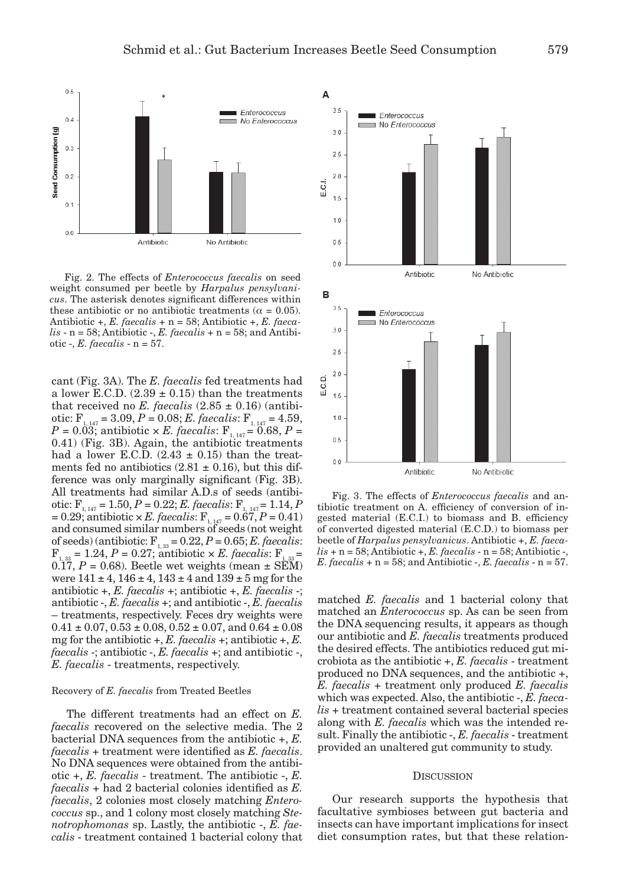

Fig. 2. The effects of *Enterococcus faecalis* on seed weight consumed per beetle by *Harpalus pensylvanicus*. The asterisk denotes significant differences within these antibiotic or no antibiotic treatments ( $\alpha = 0.05$ ). Antibiotic +, *E. faecalis* + n = 58; Antibiotic +, *E. faeca* $lis - n = 58$ ; Antibiotic  $-, E$ . *faecalis* + n = 58; and Antibiotic -, *E. faecalis* - n = 57.

cant (Fig. 3A). The *E. faecalis* fed treatments had a lower E.C.D.  $(2.39 \pm 0.15)$  than the treatments that received no *E. faecalis*  $(2.85 \pm 0.16)$  (antibiotic:  $F_{1, 147} = 3.09, P = 0.08; E.$  *faecalis*:  $F_{1, 147} = 4.59$ ,  $P = 0.03$ ; antibiotic  $\times E$ . *faecalis*:  $F_{1, 147} = 0.68, P =$ 0.41) (Fig. 3B). Again, the antibiotic treatments had a lower E.C.D.  $(2.43 \pm 0.15)$  than the treatments fed no antibiotics  $(2.81 \pm 0.16)$ , but this difference was only marginally significant (Fig. 3B). All treatments had similar A.D.s of seeds (antibiotic:  $F_{1, 147} = 1.50, P = 0.22; E.$  *faecalis*:  $F_{1, 147} = 1.14, P$  $= 0.29$ ; antibiotic  $\times E$ . *faecalis*:  $F_{1, 147} = 0.67, P = 0.41$ ) and consumed similar numbers of seeds (not weight of seeds) (antibiotic:  $F_{1,33} = 0.22$ ,  $P = 0.65$ ; *E. faecalis*:  $F_{1,33} = 1.24$ ,  $P = 0.27$ ; antibiotic  $\times E$ . *faecalis*:  $F_{1,33} = 0.27$  $F_{33} = 1.24, P = 0.27$ ; antibiotic  $\times E$ . faecalis: F  $0.17$ ,  $P = 0.68$ ). Beetle wet weights (mean  $\pm$  SEM) were  $141 \pm 4$ ,  $146 \pm 4$ ,  $143 \pm 4$  and  $139 \pm 5$  mg for the antibiotic +, *E. faecalis* +; antibiotic +, *E. faecalis* -; antibiotic -, *E. faecalis* +; and antibiotic -, *E. faecalis* – treatments, respectively. Feces dry weights were  $0.41 \pm 0.07$ ,  $0.53 \pm 0.08$ ,  $0.52 \pm 0.07$ , and  $0.64 \pm 0.08$ mg for the antibiotic +, *E. faecalis* +; antibiotic +, *E. faecalis* -; antibiotic -, *E. faecalis* +; and antibiotic -, *E. faecalis* - treatments, respectively.

# Recovery of *E. faecalis* from Treated Beetles

The different treatments had an effect on *E. faecalis* recovered on the selective media. The 2 bacterial DNA sequences from the antibiotic +, *E. faecalis* + treatment were identified as *E. faecalis*. No DNA sequences were obtained from the antibiotic +, *E. faecalis* - treatment. The antibiotic -, *E. faecalis* + had 2 bacterial colonies identified as *E. faecalis*, 2 colonies most closely matching *Enterococcus* sp., and 1 colony most closely matching *Stenotrophomonas* sp. Lastly, the antibiotic -, *E. faecalis* - treatment contained 1 bacterial colony that



Fig. 3. The effects of *Enterococcus faecalis* and antibiotic treatment on A. efficiency of conversion of ingested material (E.C.I.) to biomass and B. efficiency of converted digested material (E.C.D.) to biomass per beetle of *Harpalus pensylvanicus*. Antibiotic +, *E. faeca* $lis + n = 58$ ; Antibiotic +, *E. faecalis* - n = 58; Antibiotic -,  $E.$  *faecalis* + n = 58; and Antibiotic -,  $E.$  *faecalis* - n = 57.

matched *E. faecalis* and 1 bacterial colony that matched an *Enterococcus* sp. As can be seen from the DNA sequencing results, it appears as though our antibiotic and *E. faecalis* treatments produced the desired effects. The antibiotics reduced gut microbiota as the antibiotic +, *E. faecalis* - treatment produced no DNA sequences, and the antibiotic +, *E. faecalis* + treatment only produced *E. faecalis* which was expected. Also, the antibiotic -, *E. faecalis* + treatment contained several bacterial species along with *E. faecalis* which was the intended result. Finally the antibiotic -, *E. faecalis* - treatment provided an unaltered gut community to study.

#### **DISCUSSION**

Our research supports the hypothesis that facultative symbioses between gut bacteria and insects can have important implications for insect diet consumption rates, but that these relation-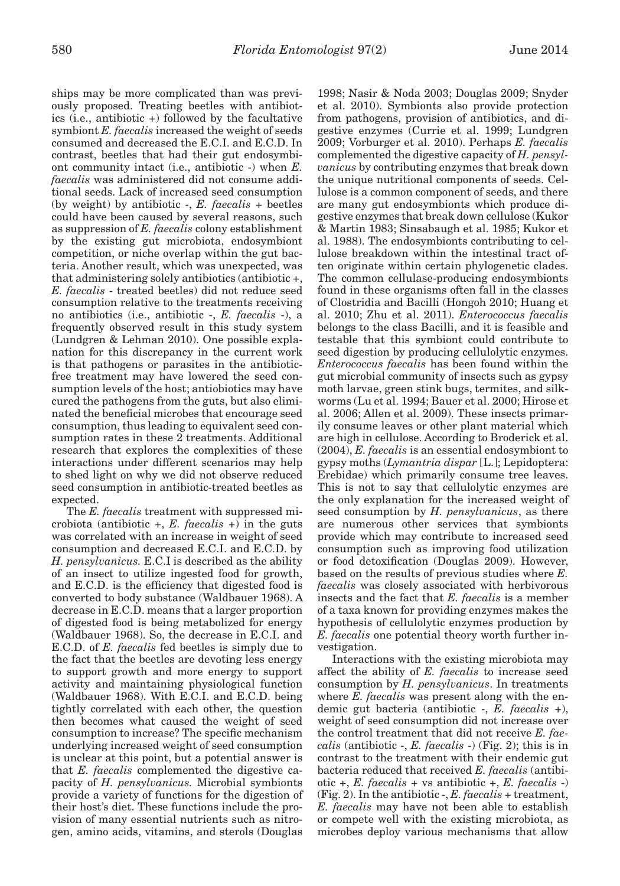ships may be more complicated than was previously proposed. Treating beetles with antibiotics (i.e., antibiotic +) followed by the facultative symbiont *E. faecalis* increased the weight of seeds consumed and decreased the E.C.I. and E.C.D. In contrast, beetles that had their gut endosymbiont community intact (i.e., antibiotic -) when *E. faecalis* was administered did not consume additional seeds. Lack of increased seed consumption (by weight) by antibiotic -, *E. faecalis* + beetles could have been caused by several reasons, such as suppression of *E. faecalis* colony establishment by the existing gut microbiota, endosymbiont competition, or niche overlap within the gut bacteria. Another result, which was unexpected, was that administering solely antibiotics (antibiotic +, *E. faecalis* - treated beetles) did not reduce seed consumption relative to the treatments receiving no antibiotics (i.e., antibiotic -, *E. faecalis* -), a frequently observed result in this study system (Lundgren & Lehman 2010). One possible explanation for this discrepancy in the current work is that pathogens or parasites in the antibioticfree treatment may have lowered the seed consumption levels of the host; antiobiotics may have cured the pathogens from the guts, but also eliminated the beneficial microbes that encourage seed consumption, thus leading to equivalent seed consumption rates in these 2 treatments. Additional research that explores the complexities of these interactions under different scenarios may help to shed light on why we did not observe reduced seed consumption in antibiotic-treated beetles as expected.

The *E. faecalis* treatment with suppressed microbiota (antibiotic  $+$ , *E. faecalis*  $+$ ) in the guts was correlated with an increase in weight of seed consumption and decreased E.C.I. and E.C.D. by *H. pensylvanicus.* E.C.I is described as the ability of an insect to utilize ingested food for growth, and E.C.D. is the efficiency that digested food is converted to body substance (Waldbauer 1968). A decrease in E.C.D. means that a larger proportion of digested food is being metabolized for energy (Waldbauer 1968). So, the decrease in E.C.I. and E.C.D. of *E. faecalis* fed beetles is simply due to the fact that the beetles are devoting less energy to support growth and more energy to support activity and maintaining physiological function (Waldbauer 1968). With E.C.I. and E.C.D. being tightly correlated with each other, the question then becomes what caused the weight of seed consumption to increase? The specific mechanism underlying increased weight of seed consumption is unclear at this point, but a potential answer is that *E. faecalis* complemented the digestive capacity of *H. pensylvanicus.* Microbial symbionts provide a variety of functions for the digestion of their host's diet. These functions include the provision of many essential nutrients such as nitrogen, amino acids, vitamins, and sterols (Douglas

1998; Nasir & Noda 2003; Douglas 2009; Snyder et al. 2010). Symbionts also provide protection from pathogens, provision of antibiotics, and digestive enzymes (Currie et al. 1999; Lundgren 2009; Vorburger et al. 2010). Perhaps *E. faecalis* complemented the digestive capacity of *H. pensylvanicus* by contributing enzymes that break down the unique nutritional components of seeds. Cellulose is a common component of seeds, and there are many gut endosymbionts which produce digestive enzymes that break down cellulose (Kukor & Martin 1983; Sinsabaugh et al. 1985; Kukor et al. 1988). The endosymbionts contributing to cellulose breakdown within the intestinal tract often originate within certain phylogenetic clades. The common cellulase-producing endosymbionts found in these organisms often fall in the classes of Clostridia and Bacilli (Hongoh 2010; Huang et al. 2010; Zhu et al. 2011). *Enterococcus faecalis* belongs to the class Bacilli, and it is feasible and testable that this symbiont could contribute to seed digestion by producing cellulolytic enzymes. *Enterococcus faecalis* has been found within the gut microbial community of insects such as gypsy moth larvae, green stink bugs, termites, and silkworms (Lu et al. 1994; Bauer et al. 2000; Hirose et al. 2006; Allen et al. 2009). These insects primarily consume leaves or other plant material which are high in cellulose. According to Broderick et al. (2004), *E. faecalis* is an essential endosymbiont to gypsy moths (*Lymantria dispar* [L.]; Lepidoptera: Erebidae) which primarily consume tree leaves. This is not to say that cellulolytic enzymes are the only explanation for the increased weight of seed consumption by *H. pensylvanicus*, as there are numerous other services that symbionts provide which may contribute to increased seed consumption such as improving food utilization or food detoxification (Douglas 2009). However, based on the results of previous studies where *E. faecalis* was closely associated with herbivorous insects and the fact that *E. faecalis* is a member of a taxa known for providing enzymes makes the hypothesis of cellulolytic enzymes production by *E. faecalis* one potential theory worth further investigation.

Interactions with the existing microbiota may affect the ability of *E. faecalis* to increase seed consumption by *H. pensylvanicus*. In treatments where *E. faecalis* was present along with the endemic gut bacteria (antibiotic -, *E. faecalis* +), weight of seed consumption did not increase over the control treatment that did not receive *E. faecalis* (antibiotic -, *E. faecalis* -) (Fig. 2); this is in contrast to the treatment with their endemic gut bacteria reduced that received *E. faecalis* (antibiotic +, *E. faecalis* + vs antibiotic +, *E. faecalis* -) (Fig. 2). In the antibiotic -, *E. faecalis* + treatment, *E. faecalis* may have not been able to establish or compete well with the existing microbiota, as microbes deploy various mechanisms that allow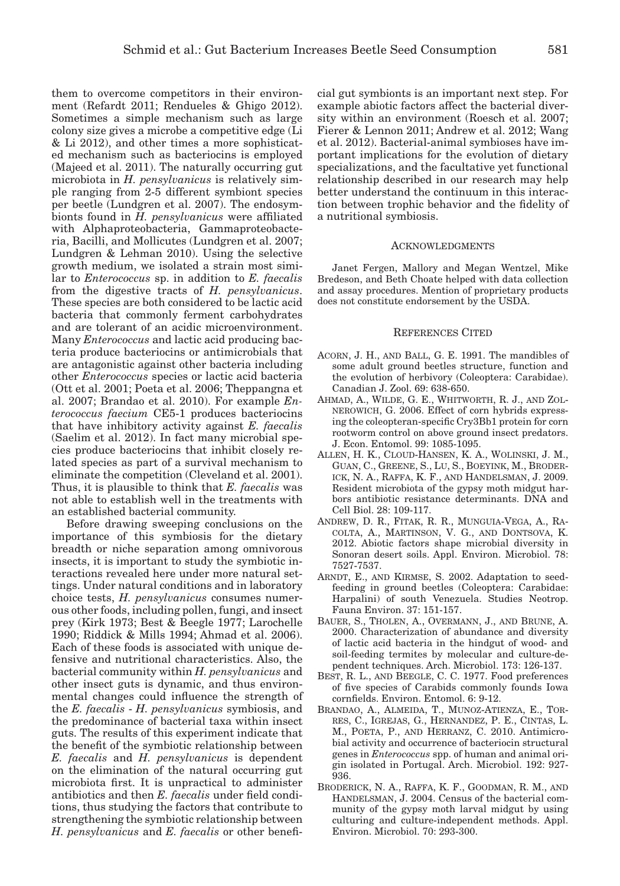them to overcome competitors in their environment (Refardt 2011; Rendueles & Ghigo 2012). Sometimes a simple mechanism such as large colony size gives a microbe a competitive edge (Li & Li 2012), and other times a more sophisticated mechanism such as bacteriocins is employed (Majeed et al. 2011). The naturally occurring gut microbiota in *H. pensylvanicus* is relatively simple ranging from 2-5 different symbiont species per beetle (Lundgren et al. 2007). The endosymbionts found in *H. pensylvanicus* were affiliated with Alphaproteobacteria, Gammaproteobacteria, Bacilli, and Mollicutes (Lundgren et al. 2007; Lundgren & Lehman 2010). Using the selective growth medium, we isolated a strain most similar to *Enterococcus* sp. in addition to *E. faecalis* from the digestive tracts of *H. pensylvanicus*. These species are both considered to be lactic acid bacteria that commonly ferment carbohydrates and are tolerant of an acidic microenvironment. Many *Enterococcus* and lactic acid producing bacteria produce bacteriocins or antimicrobials that are antagonistic against other bacteria including other *Enterococcus* species or lactic acid bacteria (Ott et al. 2001; Poeta et al. 2006; Theppangna et al. 2007; Brandao et al. 2010). For example *Enterococcus faecium* CE5-1 produces bacteriocins that have inhibitory activity against *E. faecalis* (Saelim et al. 2012). In fact many microbial species produce bacteriocins that inhibit closely related species as part of a survival mechanism to eliminate the competition (Cleveland et al. 2001). Thus, it is plausible to think that *E. faecalis* was not able to establish well in the treatments with an established bacterial community.

Before drawing sweeping conclusions on the importance of this symbiosis for the dietary breadth or niche separation among omnivorous insects, it is important to study the symbiotic interactions revealed here under more natural settings. Under natural conditions and in laboratory choice tests, *H. pensylvanicus* consumes numerous other foods, including pollen, fungi, and insect prey (Kirk 1973; Best & Beegle 1977; Larochelle 1990; Riddick & Mills 1994; Ahmad et al. 2006). Each of these foods is associated with unique defensive and nutritional characteristics. Also, the bacterial community within *H. pensylvanicus* and other insect guts is dynamic, and thus environmental changes could influence the strength of the *E. faecalis* - *H. pensylvanicus* symbiosis, and the predominance of bacterial taxa within insect guts. The results of this experiment indicate that the benefit of the symbiotic relationship between *E. faecalis* and *H. pensylvanicus* is dependent on the elimination of the natural occurring gut microbiota first. It is unpractical to administer antibiotics and then *E. faecalis* under field conditions, thus studying the factors that contribute to strengthening the symbiotic relationship between *H. pensylvanicus* and *E. faecalis* or other beneficial gut symbionts is an important next step. For example abiotic factors affect the bacterial diversity within an environment (Roesch et al. 2007; Fierer & Lennon 2011; Andrew et al. 2012; Wang et al. 2012). Bacterial-animal symbioses have important implications for the evolution of dietary specializations, and the facultative yet functional relationship described in our research may help better understand the continuum in this interaction between trophic behavior and the fidelity of a nutritional symbiosis.

#### Acknowledgments

Janet Fergen, Mallory and Megan Wentzel, Mike Bredeson, and Beth Choate helped with data collection and assay procedures. Mention of proprietary products does not constitute endorsement by the USDA.

#### References Cited

- Acorn, J. H., and Ball, G. E. 1991. The mandibles of some adult ground beetles structure, function and the evolution of herbivory (Coleoptera: Carabidae). Canadian J. Zool. 69: 638-650.
- Ahmad, A., Wilde, G. E., Whitworth, R. J., and Zolnerowich, G. 2006. Effect of corn hybrids expressing the coleopteran-specific Cry3Bb1 protein for corn rootworm control on above ground insect predators. J. Econ. Entomol. 99: 1085-1095.
- Allen, H. K., Cloud-Hansen, K. A., Wolinski, J. M., Guan, C., Greene, S., Lu, S., Boeyink, M., Broderick, N. A., Raffa, K. F., and Handelsman, J. 2009. Resident microbiota of the gypsy moth midgut harbors antibiotic resistance determinants. DNA and Cell Biol. 28: 109-117.
- Andrew, D. R., Fitak, R. R., Munguia-Vega, A., Racolta, A., Martinson, V. G., and Dontsova, K. 2012. Abiotic factors shape microbial diversity in Sonoran desert soils. Appl. Environ. Microbiol. 78: 7527-7537.
- ARNDT, E., AND KIRMSE, S. 2002. Adaptation to seedfeeding in ground beetles (Coleoptera: Carabidae: Harpalini) of south Venezuela. Studies Neotrop. Fauna Environ. 37: 151-157.
- Bauer, S., Tholen, A., Overmann, J., and Brune, A. 2000. Characterization of abundance and diversity of lactic acid bacteria in the hindgut of wood- and soil-feeding termites by molecular and culture-dependent techniques. Arch. Microbiol. 173: 126-137.
- Best, R. L., and Beegle, C. C. 1977. Food preferences of five species of Carabids commonly founds Iowa cornfields. Environ. Entomol. 6: 9-12.
- Brandao, A., Almeida, T., Munoz-Atienza, E., Torres, C., Igrejas, G., Hernandez, P. E., Cintas, L. M., Poeta, P., and Herranz, C. 2010. Antimicrobial activity and occurrence of bacteriocin structural genes in *Enterococcus* spp. of human and animal origin isolated in Portugal. Arch. Microbiol. 192: 927- 936.
- Broderick, N. A., Raffa, K. F., Goodman, R. M., and HANDELSMAN, J. 2004. Census of the bacterial community of the gypsy moth larval midgut by using culturing and culture-independent methods. Appl. Environ. Microbiol. 70: 293-300.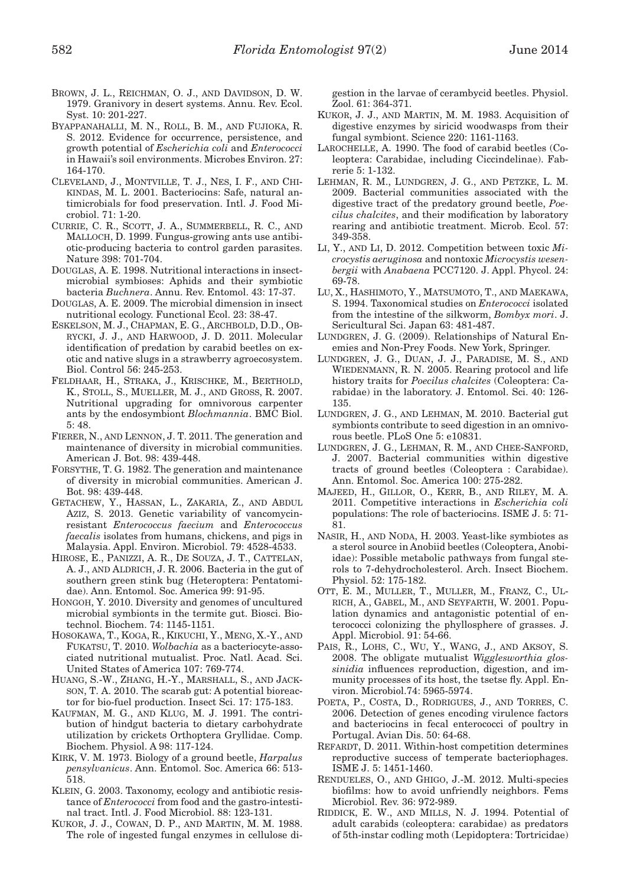- Brown, J. L., Reichman, O. J., and Davidson, D. W. 1979. Granivory in desert systems. Annu. Rev. Ecol. Syst. 10: 201-227.
- Byappanahalli, M. N., Roll, B. M., and Fujioka, R. S. 2012. Evidence for occurrence, persistence, and growth potential of *Escherichia coli* and *Enterococci* in Hawaii's soil environments. Microbes Environ. 27: 164-170.
- Cleveland, J., Montville, T. J., Nes, I. F., and Chikindas, M. L. 2001. Bacteriocins: Safe, natural antimicrobials for food preservation. Intl. J. Food Microbiol. 71: 1-20.
- Currie, C. R., Scott, J. A., Summerbell, R. C., and Malloch, D. 1999. Fungus-growing ants use antibiotic-producing bacteria to control garden parasites. Nature 398: 701-704.
- Douglas, A. E. 1998. Nutritional interactions in insectmicrobial symbioses: Aphids and their symbiotic bacteria *Buchnera*. Annu. Rev. Entomol. 43: 17-37.
- Douglas, A. E. 2009. The microbial dimension in insect nutritional ecology. Functional Ecol. 23: 38-47.
- Eskelson, M. J., Chapman, E. G., Archbold, D.D., Obrycki, J. J., and Harwood, J. D. 2011. Molecular identification of predation by carabid beetles on exotic and native slugs in a strawberry agroecosystem. Biol. Control 56: 245-253.
- Feldhaar, H., Straka, J., Krischke, M., Berthold, K., Stoll, S., Mueller, M. J., and Gross, R. 2007. Nutritional upgrading for omnivorous carpenter ants by the endosymbiont *Blochmannia*. BMC Biol. 5: 48.
- Fierer, N., and Lennon, J. T. 2011. The generation and maintenance of diversity in microbial communities. American J. Bot. 98: 439-448.
- Forsythe, T. G. 1982. The generation and maintenance of diversity in microbial communities. American J. Bot. 98: 439-448.
- Getachew, Y., Hassan, L., Zakaria, Z., and Abdul Aziz, S. 2013. Genetic variability of vancomycinresistant *Enterococcus faecium* and *Enterococcus faecalis* isolates from humans, chickens, and pigs in Malaysia. Appl. Environ. Microbiol. 79: 4528-4533.
- Hirose, E., Panizzi, A. R., De Souza, J. T., Cattelan, A. J., and Aldrich, J. R. 2006. Bacteria in the gut of southern green stink bug (Heteroptera: Pentatomidae). Ann. Entomol. Soc. America 99: 91-95.
- Hongoh, Y. 2010. Diversity and genomes of uncultured microbial symbionts in the termite gut. Biosci. Biotechnol. Biochem. 74: 1145-1151.
- Hosokawa, T., Koga, R., Kikuchi, Y., Meng, X.-Y., and Fukatsu, T. 2010. *Wolbachia* as a bacteriocyte-associated nutritional mutualist. Proc. Natl. Acad. Sci. United States of America 107: 769-774.
- Huang, S.-W., Zhang, H.-Y., Marshall, S., and Jackson, T. A. 2010. The scarab gut: A potential bioreactor for bio-fuel production. Insect Sci. 17: 175-183.
- Kaufman, M. G., and Klug, M. J. 1991. The contribution of hindgut bacteria to dietary carbohydrate utilization by crickets Orthoptera Gryllidae. Comp. Biochem. Physiol. A 98: 117-124.
- Kirk, V. M. 1973. Biology of a ground beetle, *Harpalus pensylvanicus*. Ann. Entomol. Soc. America 66: 513- 518.
- KLEIN, G. 2003. Taxonomy, ecology and antibiotic resistance of *Enterococci* from food and the gastro-intestinal tract. Intl. J. Food Microbiol. 88: 123-131.
- Kukor, J. J., Cowan, D. P., and Martin, M. M. 1988. The role of ingested fungal enzymes in cellulose di-

gestion in the larvae of cerambycid beetles. Physiol. Zool. 61: 364-371.

- Kukor, J. J., and Martin, M. M. 1983. Acquisition of digestive enzymes by siricid woodwasps from their fungal symbiont. Science 220: 1161-1163.
- Larochelle, A. 1990. The food of carabid beetles (Coleoptera: Carabidae, including Ciccindelinae). Fabrerie 5: 1-132.
- Lehman, R. M., Lundgren, J. G., and Petzke, L. M. 2009. Bacterial communities associated with the digestive tract of the predatory ground beetle, *Poecilus chalcites*, and their modification by laboratory rearing and antibiotic treatment. Microb. Ecol. 57: 349-358.
- Li, Y., and Li, D. 2012. Competition between toxic *Microcystis aeruginosa* and nontoxic *Microcystis wesenbergii* with *Anabaena* PCC7120. J. Appl. Phycol. 24: 69-78.
- Lu, X., Hashimoto, Y., Matsumoto, T., and Maekawa, S. 1994. Taxonomical studies on *Enterococci* isolated from the intestine of the silkworm, *Bombyx mori*. J. Sericultural Sci. Japan 63: 481-487.
- LUNDGREN, J. G. (2009). Relationships of Natural Enemies and Non-Prey Foods. New York, Springer.
- Lundgren, J. G., Duan, J. J., Paradise, M. S., and WIEDENMANN, R. N. 2005. Rearing protocol and life history traits for *Poecilus chalcites* (Coleoptera: Carabidae) in the laboratory. J. Entomol. Sci. 40: 126- 135.
- Lundgren, J. G., and Lehman, M. 2010. Bacterial gut symbionts contribute to seed digestion in an omnivorous beetle. PLoS One 5: e10831.
- Lundgren, J. G., Lehman, R. M., and Chee-Sanford, J. 2007. Bacterial communities within digestive tracts of ground beetles (Coleoptera : Carabidae). Ann. Entomol. Soc. America 100: 275-282.
- Majeed, H., Gillor, O., Kerr, B., and Riley, M. A. 2011. Competitive interactions in *Escherichia coli* populations: The role of bacteriocins. ISME J. 5: 71- 81.
- Nasir, H., and Noda, H. 2003. Yeast-like symbiotes as a sterol source in Anobiid beetles (Coleoptera, Anobiidae): Possible metabolic pathways from fungal sterols to 7-dehydrocholesterol. Arch. Insect Biochem. Physiol. 52: 175-182.
- Ott, E. M., Muller, T., Muller, M., Franz, C., Ulrich, A., Gabel, M., and Seyfarth, W. 2001. Population dynamics and antagonistic potential of enterococci colonizing the phyllosphere of grasses. J. Appl. Microbiol. 91: 54-66.
- PAIS, R., LOHS, C., WU, Y., WANG, J., AND AKSOY, S. 2008. The obligate mutualist *Wigglesworthia glossinidia* influences reproduction, digestion, and immunity processes of its host, the tsetse fly. Appl. Environ. Microbiol.74: 5965-5974.
- Poeta, P., Costa, D., Rodrigues, J., and Torres, C. 2006. Detection of genes encoding virulence factors and bacteriocins in fecal enterococci of poultry in Portugal. Avian Dis. 50: 64-68.
- REFARDT, D. 2011. Within-host competition determines reproductive success of temperate bacteriophages. ISME J. 5: 1451-1460.
- Rendueles, O., and Ghigo, J.-M. 2012. Multi-species biofilms: how to avoid unfriendly neighbors. Fems Microbiol. Rev. 36: 972-989.
- RIDDICK, E. W., AND MILLS, N. J. 1994. Potential of adult carabids (coleoptera: carabidae) as predators of 5th-instar codling moth (Lepidoptera: Tortricidae)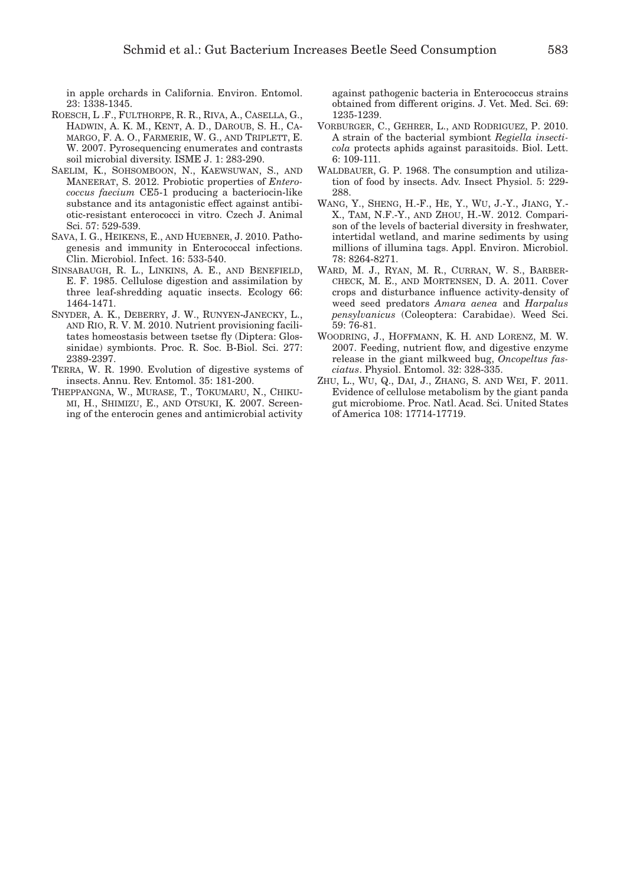in apple orchards in California. Environ. Entomol. 23: 1338-1345.

- Roesch, L .F., Fulthorpe, R. R., Riva, A., Casella, G., Hadwin, A. K. M., Kent, A. D., Daroub, S. H., Camargo, F. A. O., Farmerie, W. G., and Triplett, E. W. 2007. Pyrosequencing enumerates and contrasts soil microbial diversity. ISME J. 1: 283-290.
- Saelim, K., Sohsomboon, N., Kaewsuwan, S., and Maneerat, S. 2012. Probiotic properties of *Enterococcus faecium* CE5-1 producing a bacteriocin-like substance and its antagonistic effect against antibiotic-resistant enterococci in vitro. Czech J. Animal Sci. 57: 529-539.
- Sava, I. G., Heikens, E., and Huebner, J. 2010. Pathogenesis and immunity in Enterococcal infections. Clin. Microbiol. Infect. 16: 533-540.
- Sinsabaugh, R. L., Linkins, A. E., and Benefield, E. F. 1985. Cellulose digestion and assimilation by three leaf-shredding aquatic insects. Ecology 66: 1464-1471.
- Snyder, A. K., Deberry, J. W., Runyen-Janecky, L., and Rio, R. V. M. 2010. Nutrient provisioning facilitates homeostasis between tsetse fly (Diptera: Glossinidae) symbionts. Proc. R. Soc. B-Biol. Sci. 277: 2389-2397.
- Terra, W. R. 1990. Evolution of digestive systems of insects. Annu. Rev. Entomol. 35: 181-200.
- Theppangna, W., Murase, T., Tokumaru, N., Chikumi, H., Shimizu, E., and Otsuki, K. 2007. Screening of the enterocin genes and antimicrobial activity

against pathogenic bacteria in Enterococcus strains obtained from different origins. J. Vet. Med. Sci. 69: 1235-1239.

- Vorburger, C., Gehrer, L., and Rodriguez, P. 2010. A strain of the bacterial symbiont *Regiella insecticola* protects aphids against parasitoids. Biol. Lett. 6: 109-111.
- WALDBAUER, G. P. 1968. The consumption and utilization of food by insects. Adv. Insect Physiol. 5: 229- 288.
- Wang, Y., Sheng, H.-F., He, Y., Wu, J.-Y., Jiang, Y.- X., Tam, N.F.-Y., and Zhou, H.-W. 2012. Comparison of the levels of bacterial diversity in freshwater, intertidal wetland, and marine sediments by using millions of illumina tags. Appl. Environ. Microbiol. 78: 8264-8271.
- Ward, M. J., Ryan, M. R., Curran, W. S., Barbercheck, M. E., and Mortensen, D. A. 2011. Cover crops and disturbance influence activity-density of weed seed predators *Amara aenea* and *Harpalus pensylvanicus* (Coleoptera: Carabidae). Weed Sci. 59: 76-81.
- Woodring, J., Hoffmann, K. H. and Lorenz, M. W. 2007. Feeding, nutrient flow, and digestive enzyme release in the giant milkweed bug, *Oncopeltus fasciatus*. Physiol. Entomol. 32: 328-335.
- Zhu, L., Wu, Q., Dai, J., Zhang, S. and Wei, F. 2011. Evidence of cellulose metabolism by the giant panda gut microbiome. Proc. Natl. Acad. Sci. United States of America 108: 17714-17719.